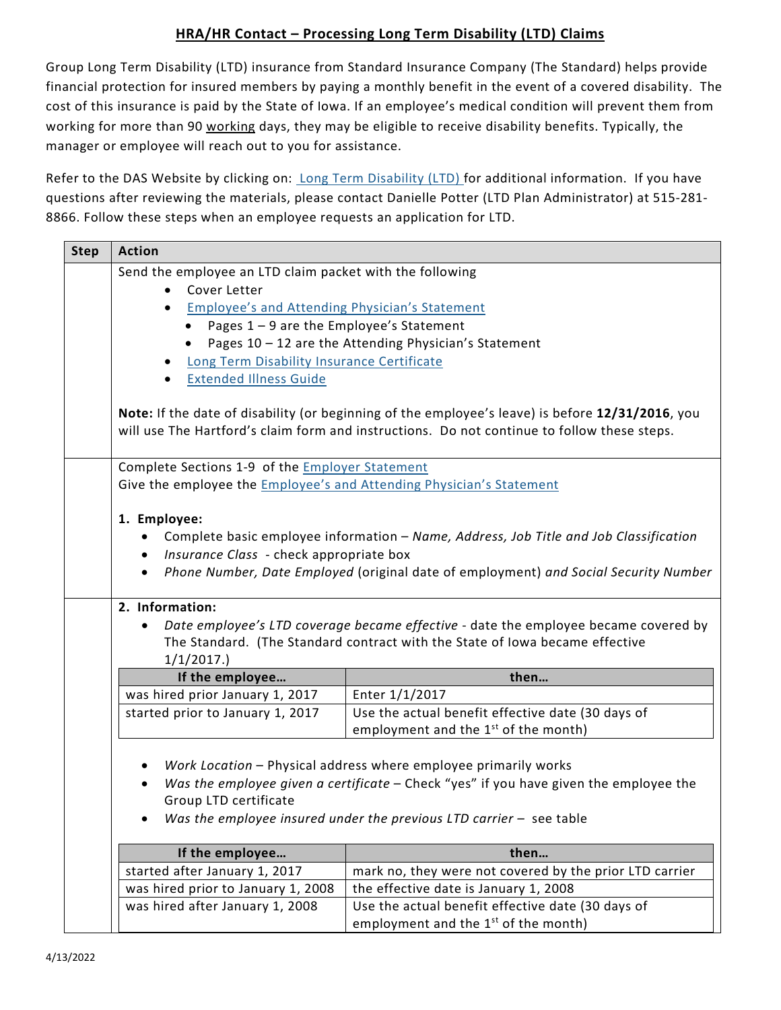## **HRA/HR Contact – Processing Long Term Disability (LTD) Claims**

Group Long Term Disability (LTD) insurance from Standard Insurance Company (The Standard) helps provide financial protection for insured members by paying a monthly benefit in the event of a covered disability. The cost of this insurance is paid by the State of Iowa. If an employee's medical condition will prevent them from working for more than 90 working days, they may be eligible to receive disability benefits. Typically, the manager or employee will reach out to you for assistance.

Refer to the DAS Website by clicking on: [Long Term Disability \(LTD\) f](https://das.iowa.gov/human-resources/employee-and-retiree-benefits/employees/group-insurance/long-term-disability-ltd)or additional information. If you have questions after reviewing the materials, please contact Danielle Potter (LTD Plan Administrator) at 515-281- 8866. Follow these steps when an employee requests an application for LTD.

| <b>Step</b> | <b>Action</b>                                                               |                                                                                                                                                                                                                                   |  |
|-------------|-----------------------------------------------------------------------------|-----------------------------------------------------------------------------------------------------------------------------------------------------------------------------------------------------------------------------------|--|
|             | Send the employee an LTD claim packet with the following                    |                                                                                                                                                                                                                                   |  |
|             | Cover Letter                                                                |                                                                                                                                                                                                                                   |  |
|             | <b>Employee's and Attending Physician's Statement</b><br>$\bullet$          |                                                                                                                                                                                                                                   |  |
|             | Pages 1 - 9 are the Employee's Statement<br>$\bullet$                       |                                                                                                                                                                                                                                   |  |
|             | $\bullet$                                                                   | Pages 10 - 12 are the Attending Physician's Statement                                                                                                                                                                             |  |
|             | Long Term Disability Insurance Certificate                                  |                                                                                                                                                                                                                                   |  |
|             | <b>Extended Illness Guide</b>                                               |                                                                                                                                                                                                                                   |  |
|             |                                                                             | Note: If the date of disability (or beginning of the employee's leave) is before 12/31/2016, you<br>will use The Hartford's claim form and instructions. Do not continue to follow these steps.                                   |  |
|             | Complete Sections 1-9 of the <b>Employer Statement</b>                      |                                                                                                                                                                                                                                   |  |
|             | Give the employee the <i>Employee's and Attending Physician's Statement</i> |                                                                                                                                                                                                                                   |  |
|             |                                                                             |                                                                                                                                                                                                                                   |  |
|             | 1. Employee:                                                                |                                                                                                                                                                                                                                   |  |
|             |                                                                             | Complete basic employee information - Name, Address, Job Title and Job Classification                                                                                                                                             |  |
|             | Insurance Class - check appropriate box<br>$\bullet$                        |                                                                                                                                                                                                                                   |  |
|             |                                                                             | • Phone Number, Date Employed (original date of employment) and Social Security Number                                                                                                                                            |  |
|             | 2. Information:                                                             |                                                                                                                                                                                                                                   |  |
|             | 1/1/2017.                                                                   | Date employee's LTD coverage became effective - date the employee became covered by<br>The Standard. (The Standard contract with the State of Iowa became effective                                                               |  |
|             | If the employee                                                             | then                                                                                                                                                                                                                              |  |
|             | was hired prior January 1, 2017                                             | Enter 1/1/2017                                                                                                                                                                                                                    |  |
|             | started prior to January 1, 2017                                            | Use the actual benefit effective date (30 days of                                                                                                                                                                                 |  |
|             |                                                                             | employment and the $1st$ of the month)                                                                                                                                                                                            |  |
|             | Group LTD certificate                                                       | Work Location - Physical address where employee primarily works<br>Was the employee given a certificate - Check "yes" if you have given the employee the<br>Was the employee insured under the previous LTD carrier $-$ see table |  |
|             | If the employee                                                             | then                                                                                                                                                                                                                              |  |
|             | started after January 1, 2017                                               | mark no, they were not covered by the prior LTD carrier                                                                                                                                                                           |  |
|             | was hired prior to January 1, 2008                                          | the effective date is January 1, 2008                                                                                                                                                                                             |  |
|             | was hired after January 1, 2008                                             | Use the actual benefit effective date (30 days of                                                                                                                                                                                 |  |
|             |                                                                             | employment and the $1st$ of the month)                                                                                                                                                                                            |  |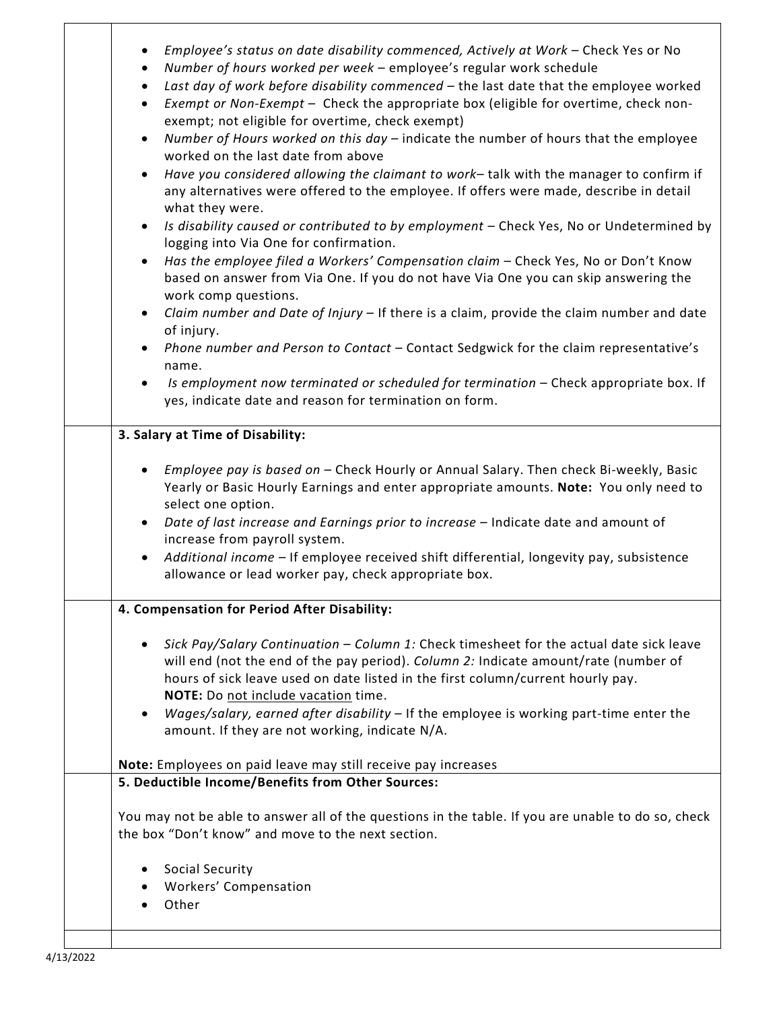| Employee's status on date disability commenced, Actively at Work - Check Yes or No<br>$\bullet$<br>Number of hours worked per week - employee's regular work schedule<br>$\bullet$<br>Last day of work before disability commenced - the last date that the employee worked<br>$\bullet$<br>Exempt or Non-Exempt - Check the appropriate box (eligible for overtime, check non-<br>$\bullet$<br>exempt; not eligible for overtime, check exempt)<br>Number of Hours worked on this day - indicate the number of hours that the employee<br>$\bullet$<br>worked on the last date from above<br>Have you considered allowing the claimant to work-talk with the manager to confirm if<br>$\bullet$<br>any alternatives were offered to the employee. If offers were made, describe in detail<br>what they were.<br>Is disability caused or contributed to by employment - Check Yes, No or Undetermined by<br>$\bullet$<br>logging into Via One for confirmation.<br>Has the employee filed a Workers' Compensation claim - Check Yes, No or Don't Know<br>$\bullet$<br>based on answer from Via One. If you do not have Via One you can skip answering the<br>work comp questions.<br>Claim number and Date of Injury - If there is a claim, provide the claim number and date<br>$\bullet$<br>of injury.<br>Phone number and Person to Contact - Contact Sedgwick for the claim representative's<br>name. |  |  |
|-----------------------------------------------------------------------------------------------------------------------------------------------------------------------------------------------------------------------------------------------------------------------------------------------------------------------------------------------------------------------------------------------------------------------------------------------------------------------------------------------------------------------------------------------------------------------------------------------------------------------------------------------------------------------------------------------------------------------------------------------------------------------------------------------------------------------------------------------------------------------------------------------------------------------------------------------------------------------------------------------------------------------------------------------------------------------------------------------------------------------------------------------------------------------------------------------------------------------------------------------------------------------------------------------------------------------------------------------------------------------------------------------------------|--|--|
| Is employment now terminated or scheduled for termination - Check appropriate box. If<br>$\bullet$<br>yes, indicate date and reason for termination on form.                                                                                                                                                                                                                                                                                                                                                                                                                                                                                                                                                                                                                                                                                                                                                                                                                                                                                                                                                                                                                                                                                                                                                                                                                                              |  |  |
| 3. Salary at Time of Disability:                                                                                                                                                                                                                                                                                                                                                                                                                                                                                                                                                                                                                                                                                                                                                                                                                                                                                                                                                                                                                                                                                                                                                                                                                                                                                                                                                                          |  |  |
| Employee pay is based on - Check Hourly or Annual Salary. Then check Bi-weekly, Basic<br>Yearly or Basic Hourly Earnings and enter appropriate amounts. Note: You only need to<br>select one option.<br>Date of last increase and Earnings prior to increase - Indicate date and amount of<br>increase from payroll system.<br>Additional income - If employee received shift differential, longevity pay, subsistence<br>$\bullet$<br>allowance or lead worker pay, check appropriate box.                                                                                                                                                                                                                                                                                                                                                                                                                                                                                                                                                                                                                                                                                                                                                                                                                                                                                                               |  |  |
| 4. Compensation for Period After Disability:                                                                                                                                                                                                                                                                                                                                                                                                                                                                                                                                                                                                                                                                                                                                                                                                                                                                                                                                                                                                                                                                                                                                                                                                                                                                                                                                                              |  |  |
| Sick Pay/Salary Continuation - Column 1: Check timesheet for the actual date sick leave<br>will end (not the end of the pay period). Column 2: Indicate amount/rate (number of<br>hours of sick leave used on date listed in the first column/current hourly pay.<br>NOTE: Do not include vacation time.<br>Wages/salary, earned after disability - If the employee is working part-time enter the<br>٠<br>amount. If they are not working, indicate N/A.                                                                                                                                                                                                                                                                                                                                                                                                                                                                                                                                                                                                                                                                                                                                                                                                                                                                                                                                                 |  |  |
| Note: Employees on paid leave may still receive pay increases                                                                                                                                                                                                                                                                                                                                                                                                                                                                                                                                                                                                                                                                                                                                                                                                                                                                                                                                                                                                                                                                                                                                                                                                                                                                                                                                             |  |  |
| 5. Deductible Income/Benefits from Other Sources:                                                                                                                                                                                                                                                                                                                                                                                                                                                                                                                                                                                                                                                                                                                                                                                                                                                                                                                                                                                                                                                                                                                                                                                                                                                                                                                                                         |  |  |
| You may not be able to answer all of the questions in the table. If you are unable to do so, check<br>the box "Don't know" and move to the next section.                                                                                                                                                                                                                                                                                                                                                                                                                                                                                                                                                                                                                                                                                                                                                                                                                                                                                                                                                                                                                                                                                                                                                                                                                                                  |  |  |
| Social Security<br>Workers' Compensation<br>Other                                                                                                                                                                                                                                                                                                                                                                                                                                                                                                                                                                                                                                                                                                                                                                                                                                                                                                                                                                                                                                                                                                                                                                                                                                                                                                                                                         |  |  |